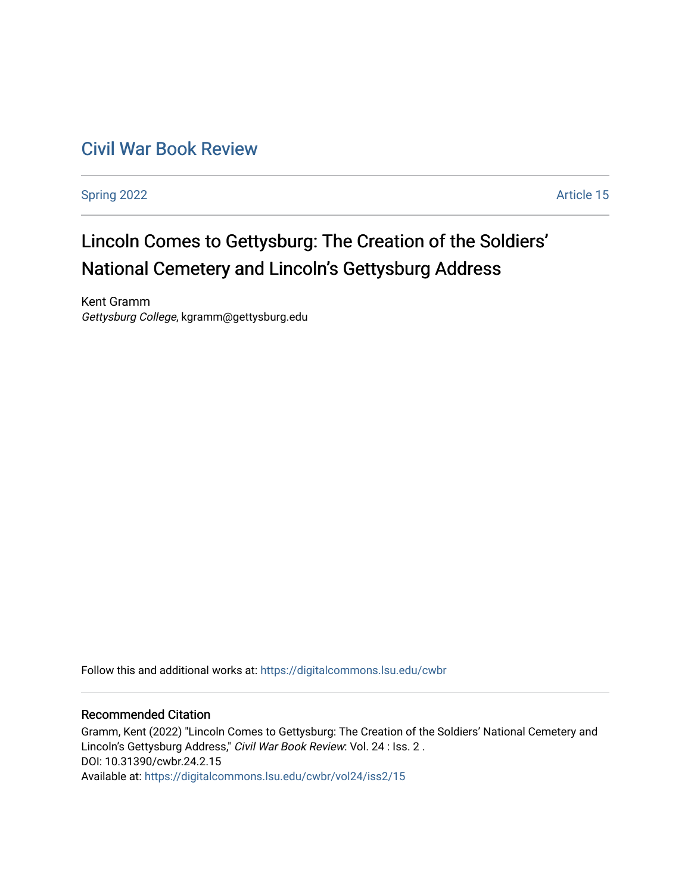# [Civil War Book Review](https://digitalcommons.lsu.edu/cwbr)

[Spring 2022](https://digitalcommons.lsu.edu/cwbr/vol24/iss2) **Article 15** 

# Lincoln Comes to Gettysburg: The Creation of the Soldiers' National Cemetery and Lincoln's Gettysburg Address

Kent Gramm Gettysburg College, kgramm@gettysburg.edu

Follow this and additional works at: [https://digitalcommons.lsu.edu/cwbr](https://digitalcommons.lsu.edu/cwbr?utm_source=digitalcommons.lsu.edu%2Fcwbr%2Fvol24%2Fiss2%2F15&utm_medium=PDF&utm_campaign=PDFCoverPages) 

#### Recommended Citation

Gramm, Kent (2022) "Lincoln Comes to Gettysburg: The Creation of the Soldiers' National Cemetery and Lincoln's Gettysburg Address," Civil War Book Review: Vol. 24 : Iss. 2 . DOI: 10.31390/cwbr.24.2.15 Available at: [https://digitalcommons.lsu.edu/cwbr/vol24/iss2/15](https://digitalcommons.lsu.edu/cwbr/vol24/iss2/15?utm_source=digitalcommons.lsu.edu%2Fcwbr%2Fvol24%2Fiss2%2F15&utm_medium=PDF&utm_campaign=PDFCoverPages)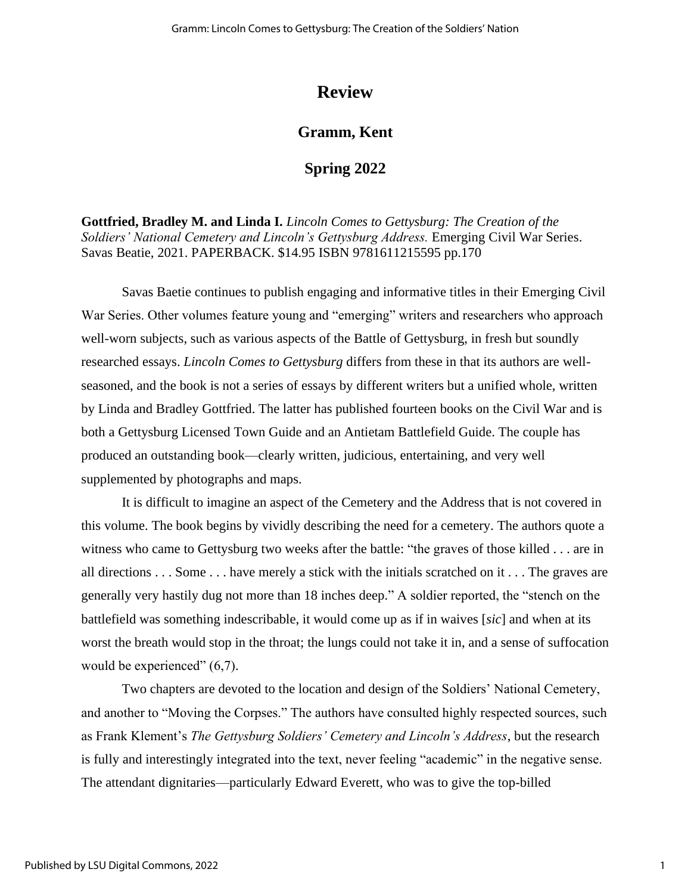## **Review**

### **Gramm, Kent**

#### **Spring 2022**

**Gottfried, Bradley M. and Linda I.** *Lincoln Comes to Gettysburg: The Creation of the Soldiers' National Cemetery and Lincoln's Gettysburg Address.* Emerging Civil War Series. Savas Beatie, 2021. PAPERBACK. \$14.95 ISBN 9781611215595 pp.170

Savas Baetie continues to publish engaging and informative titles in their Emerging Civil War Series. Other volumes feature young and "emerging" writers and researchers who approach well-worn subjects, such as various aspects of the Battle of Gettysburg, in fresh but soundly researched essays. *Lincoln Comes to Gettysburg* differs from these in that its authors are wellseasoned, and the book is not a series of essays by different writers but a unified whole, written by Linda and Bradley Gottfried. The latter has published fourteen books on the Civil War and is both a Gettysburg Licensed Town Guide and an Antietam Battlefield Guide. The couple has produced an outstanding book—clearly written, judicious, entertaining, and very well supplemented by photographs and maps.

It is difficult to imagine an aspect of the Cemetery and the Address that is not covered in this volume. The book begins by vividly describing the need for a cemetery. The authors quote a witness who came to Gettysburg two weeks after the battle: "the graves of those killed . . . are in all directions . . . Some . . . have merely a stick with the initials scratched on it . . . The graves are generally very hastily dug not more than 18 inches deep." A soldier reported, the "stench on the battlefield was something indescribable, it would come up as if in waives [*sic*] and when at its worst the breath would stop in the throat; the lungs could not take it in, and a sense of suffocation would be experienced"  $(6,7)$ .

Two chapters are devoted to the location and design of the Soldiers' National Cemetery, and another to "Moving the Corpses." The authors have consulted highly respected sources, such as Frank Klement's *The Gettysburg Soldiers' Cemetery and Lincoln's Address*, but the research is fully and interestingly integrated into the text, never feeling "academic" in the negative sense. The attendant dignitaries—particularly Edward Everett, who was to give the top-billed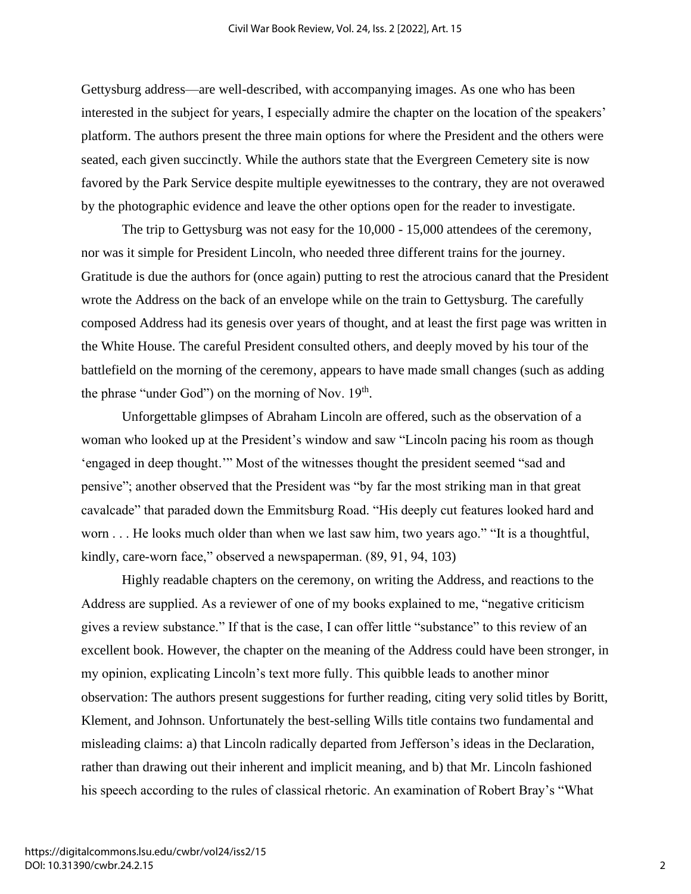Gettysburg address—are well-described, with accompanying images. As one who has been interested in the subject for years, I especially admire the chapter on the location of the speakers' platform. The authors present the three main options for where the President and the others were seated, each given succinctly. While the authors state that the Evergreen Cemetery site is now favored by the Park Service despite multiple eyewitnesses to the contrary, they are not overawed by the photographic evidence and leave the other options open for the reader to investigate.

The trip to Gettysburg was not easy for the 10,000 - 15,000 attendees of the ceremony, nor was it simple for President Lincoln, who needed three different trains for the journey. Gratitude is due the authors for (once again) putting to rest the atrocious canard that the President wrote the Address on the back of an envelope while on the train to Gettysburg. The carefully composed Address had its genesis over years of thought, and at least the first page was written in the White House. The careful President consulted others, and deeply moved by his tour of the battlefield on the morning of the ceremony, appears to have made small changes (such as adding the phrase "under God") on the morning of Nov.  $19<sup>th</sup>$ .

Unforgettable glimpses of Abraham Lincoln are offered, such as the observation of a woman who looked up at the President's window and saw "Lincoln pacing his room as though 'engaged in deep thought.'" Most of the witnesses thought the president seemed "sad and pensive"; another observed that the President was "by far the most striking man in that great cavalcade" that paraded down the Emmitsburg Road. "His deeply cut features looked hard and worn . . . He looks much older than when we last saw him, two years ago." "It is a thoughtful, kindly, care-worn face," observed a newspaperman. (89, 91, 94, 103)

Highly readable chapters on the ceremony, on writing the Address, and reactions to the Address are supplied. As a reviewer of one of my books explained to me, "negative criticism gives a review substance." If that is the case, I can offer little "substance" to this review of an excellent book. However, the chapter on the meaning of the Address could have been stronger, in my opinion, explicating Lincoln's text more fully. This quibble leads to another minor observation: The authors present suggestions for further reading, citing very solid titles by Boritt, Klement, and Johnson. Unfortunately the best-selling Wills title contains two fundamental and misleading claims: a) that Lincoln radically departed from Jefferson's ideas in the Declaration, rather than drawing out their inherent and implicit meaning, and b) that Mr. Lincoln fashioned his speech according to the rules of classical rhetoric. An examination of Robert Bray's "What